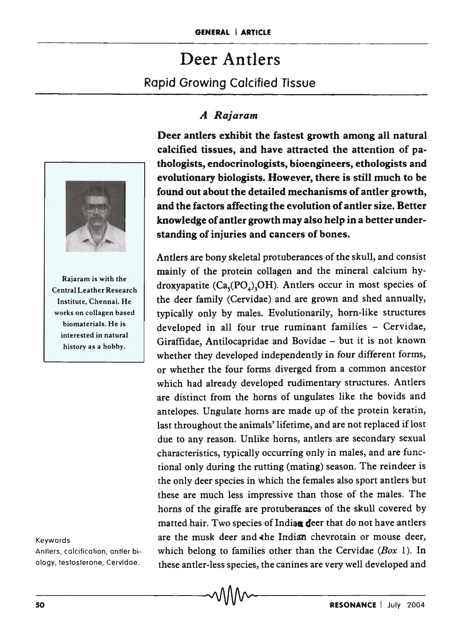# Deer Antlers Rapid Growing Calcified Tissue





Rajaram is with the Central Leather Research Institute, Chennai. He works on collagen based biomaterials. He is interested in natural history as a hobby.

Keywords

Antlers, calcification, antler biology, testosterone, Cervidae.

Deer antlers exhibit the fastest growth among all natural calcified tissues, and have attracted the attention of pathologists, endocrinologists, bioengineers, ethologists and evolutionary biologists. However, there is still much to be found out about the detailed mechanisms of antler growth, and the factors affecting the evolution of antler size. Better knowledge of antler growth may also help in a better understanding of injuries and cancers of bones.

Antlers are bony skeletal protuberances of the skull, and consist mainly of the protein collagen and the mineral calcium hydroxyapatite ( $Ca_s(PO_4)_3OH$ ). Antlers occur in most species of the deer family (Cervidae) and are grown and shed annually, typically only by males. Evolutionarily, horn-like structures developed in all four true ruminant families - Cervidae, Giraffidae, Antilocapridae and Bovidae - but it is not known whether they developed independently in four different forms, or whether the four forms diverged from a common ancestor which had already developed rudimentary structures. Antlers are distinct from the horns of ungulates like the bovids and antelopes. Ungulate horns are made up of the protein keratin, last throughout the animals' lifetime, and are not replaced if lost due to any reason. Unlike horns, antlers are secondary sexual characteristics, typically occurring only in males, and are functional only during the rutting (mating) season. The reindeer is the only deer species in which the females also sport antlers but these are much less impressive than those of the males. The horns of the giraffe are protuberances of the skull covered by matted hair. Two species of Indian deer that do not have antlers are the musk deer and the Indian chevrotain or mouse deer, which belong to families other than the Cervidae *(Box* 1). In these antler-less species, the canines are very well developed and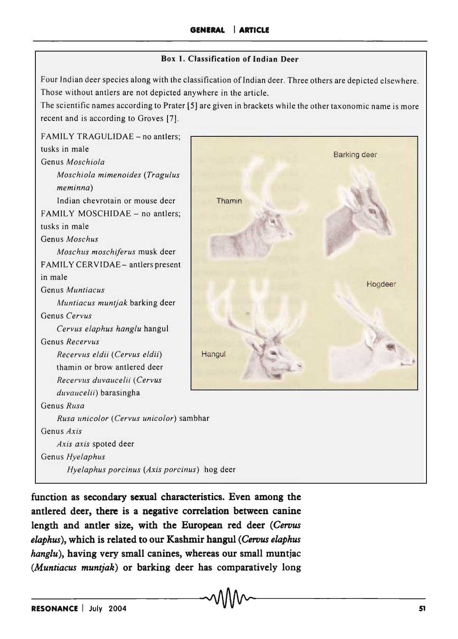#### **Box 1. Classification of Indian Deer**

Four Indian deer species along with the classification of Indian deer. Three others are depicted elsewhere. Those without antlers are not depicted anywhere in the article.

The scientific names according to Prater [5] are given in brackets while the other taxonomic name is more recent and is according to Groves [7].

Barking deer

Hogdeer

FAMILY TRAGULIDAE - no antlers: tusks in male Genus *Moschiola Moschiola mimenoides (Tragulus meminna)*  Indian chevrotain or mouse deer Thamin  $FAMILY MOSCHIDAE - no antlers:$ tusks in male Genus *Moschus Moschus moschiferus* musk deer FAMILY CERVIDAE- antlers present in male Genus *Muntiacus Muntiacus muntjak* barking deer Genus *Cervus Cervus elaphus hanglu* hangul Genus *Recervus Recervus eldii (Cervus eldii)*  Hangul thamin or brow antlered deer *RecerVllS duvaucelii (Cervus dllvaucelii)* barasingha Genus *Rusa Rusa ztnicolor (Cervus unicolor)* sambhar Genus *Axis Axis axis* spoted deer Genus *Hyelaphus Hyelaphus porcinus (Axis porcinus)* hog deer

**function as secondary sexual characteristics. Even among the antlered deer, there is a negative correlation between canine length and antler size, with the European red deer** *(Cerous elaphus),* **which is related to our Kashmir hangul** *(Cerous elaphus hangiu),* **having very small canines, whereas our small muntjac**  *(Muntiacus muntjak)* **or barking deer has comparatively long**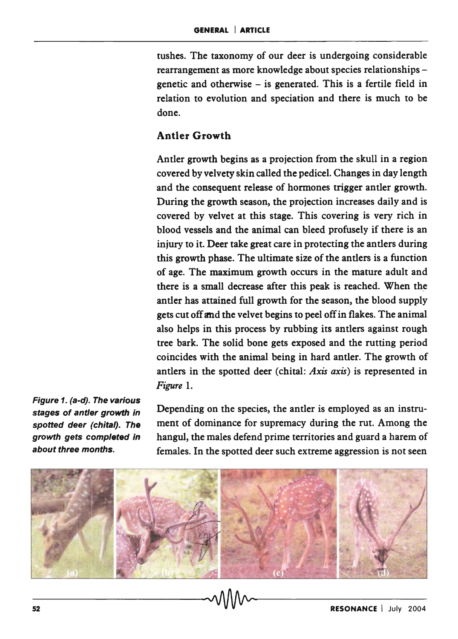tushes. The taxonomy of our deer is undergoing considerable rearrangement as more knowledge about species relationships genetic and otherwise - is generated. This is a fertile field in relation to evolution and speciation and there is much to be done.

## Antler Growth

Antler growth begins as a projection from the skull in a region covered by velvety skin called the pedicel. Changes in day length and the consequent release of hormones trigger antler growth. During the growth season, the projection increases daily and is covered by velvet at this stage. This covering is very rich in blood vessels and the animal can bleed profusely if there is an injury to it. Deer take great care in protecting the antlers during this growth phase. The ultimate size of the antlers is a function of age. The maximum growth occurs in the mature adult and there is a small decrease after this peak is reached. When the antler has attained full growth for the season, the blood supply gets cut off and the velvet begins to peel off in flakes. The animal also helps in this process by rubbing its antlers against rough tree bark. The solid bone gets exposed and the rutting period coincides with the animal being in hard antler. The growth of antlers in the spotted deer (chital: *Axis axis)* is represented in *Figure* 1.

Figure 1. (a-d). The various stages of antler growth in spotted deer (chital). The growth gets completed in about three months.

Depending on the species, the antler is employed as an instrument of dominance for supremacy during the rut. Among the hangul, the males defend prime territories and guard a harem of females. In the spotted deer such extreme aggression is not seen

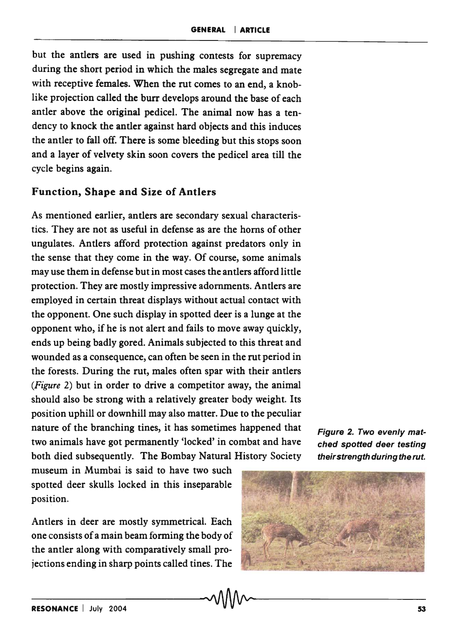but the antlers are used in pushing contests for supremacy during the short period in which the males segregate and mate with receptive females. When the rut comes to an end, a knoblike projection called the burr develops around the base of each antler above the original pedicel. The animal now has a tendency to knock the antler against hard objects and this induces the antler to fall off. There is some bleeding but this stops soon and a layer of velvety skin soon covers the pedicel area till the cycle begins again.

## Function, Shape and Size of Antlers

As mentioned earlier, antlers are secondary sexual characteristics. They are not as useful in defense as are the horns of other ungulates. Antlers afford protection against predators only in the sense that they come in the way. Of course, some animals may use them in defense but in most cases the antlers afford little protection. They are mostly impressive adornments. Antlers are employed in certain threat displays without actual contact with the opponent. One such display in spotted deer is a lunge at the opponent who, if he is not alert and fails to move away quickly, ends up being badly gored. Animals subjected to this threat and wounded as a consequence, can often be seen in the rut period in the forests. During the rut, males often spar with their antlers *(Figure* 2) but in order to drive a competitor away, the animal should also be strong with a relatively greater body weight. Its position uphill or downhill may also matter. Due to the peculiar nature of the branching tines, it has sometimes happened that two animals have got permanently 'locked' in combat and have both died subsequently. The Bombay Natural History Society

museum in Mumbai is said to have two such spotted deer skulls locked in this inseparable position.

Antlers in deer are mostly symmetrical. Each one consists of a main beam forming the body of the antler along with comparatively small projections ending in sharp points called tines. The

Figure 2. Two evenly matched spotted deer testing their strength during the rut.

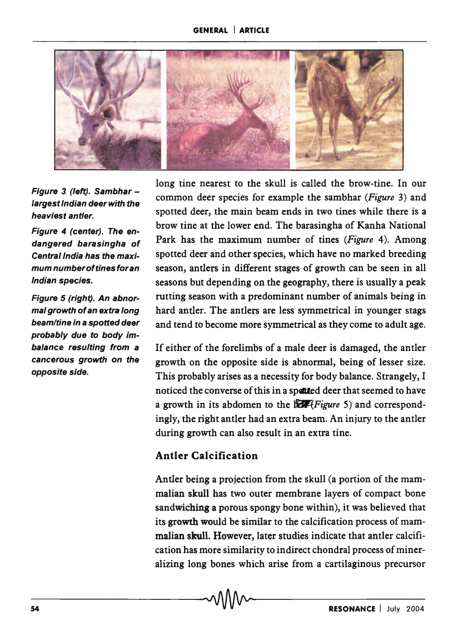

Figure 3 (left). Sambharlargest Indian deer with the heaviest antler.

Figure 4 (center). The endangered barasingha of Central India has the maximum numberoftines for an Indian species.

Figure 5 (right). An abnormal growth of an extra long beam/tine in a spotted deer probably due to body imbalance resulting from a cancerous growth on the opposite side.

long tine nearest to the skull is called the brow-tine. In our common deer species for example the sambhar *(Figure* 3) and spotted deer, the main beam ends in two tines while there is a brow tine at the lower end. The barasingha of Kanha National Park has the maximum number of tines *(Figure* 4). Among spotted deer and other species, which have no marked breeding season, antlers in different stages of growth can be seen in all seasons but depending on the geography, there is usually a peak rutting season with a predominant number of animals being in hard antler. The antlers are less symmetrical in younger stags and tend to become more symmetrical as they come to adult age.

If either of the forelimbs of a male deer is damaged, the antler growth on the opposite side is abnormal, being of lesser size. This probably arises as a necessity for body balance. Strangely, I noticed the converse of this in a spetited deer that seemed to have a growth in its abdomen to the *leaf-(Figure 5)* and correspondingly, the right antler had an extra beam. An injury to the antler during growth can also result in an extra tine.

## Antler Calcification

Antler being a projection from the skull (a portion of the mammalian skull has two outer membrane layers of compact bone sandwiching a porous spongy bone within), it was believed that its growth would be similar to the calcification process of mammalian skull. However, later studies indicate that antler calcification has more similarity to indirect chondral process of mineralizing long bones which arise from a cartilaginous precursor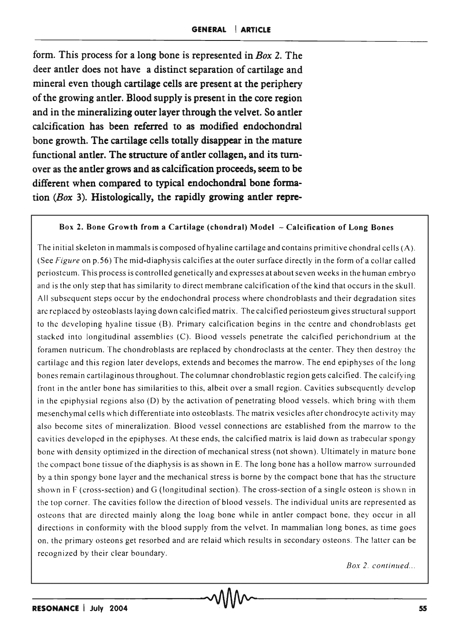**form. This process for a long** bone is **represented in** *Box* **2. The deer antler does not have a distinct separation of cartilage and mineral even though cartilage cells are present at the periphery of the growing antler. Blood supply is present in the core region and in the mineralizing outer layer through the velvet. So antler calcification has been referred to as modified endochondral bone growth. The cartilage cells totally disappear in the mature functional antler. The structure of antler collagen, and its turnover as the antler grows and as calcification proceeds, seem to be different when compared to typical endochondral bone formation** *(Box* **3). Histologically, the rapidly growing antler repre-**

#### **Box 2. Bone Growth from a Cartilage (chondral) Model - Calcification of Long Bones**

The initial skeleton in mammals is composed of hyaline cartilage and contains primitive chondral cells (A). (See *Figure* on p.S6) The mid-diaphysis calcifies at the outer surface directly in the form ofa collar called periosteum. This process is controlled genetically and expresses at about seven weeks in the human embryo and is the only step that has similarity to direct membrane calcification of the kind that occurs in the skull. All subsequent steps occur by the endochondral process where chondroblasts and their degradation sites are replaced by osteoblasts laying down calcified matrix. The calcified periosteum gives structural support to the developing hyaline tissue (B). Primary calcification begins in the centre and chondroblasts get stacked into longitudinal assemblies (C). Blood vessels penetrate the calcified perichondrium at the foramen nutricum. The chondroblasts are replaced by chondroclasts at the center. They then destroy the cartilage and this region later develops, extends and becomes the marrow. The end epiphyses of the long bones remain cartilaginous throughout. The columnar chondroblastic region gets calcified. The calcifying front in the antler bone has similarities to this, albeit over a small region. Cavities subsequently develop in the epiphysial regions also (D) by the activation of penetrating blood vessels, which bring with them mesenchymal cells which differentiate into osteoblasts. The matrix vesicles after chondrocyte activity may also become sites of mineralization. Blood vessel connections are established from the marrow to the cavities developed in the epiphyses. At these ends, the calcified matrix is laid down as trabecular spongy bone with density optimized in the direction of mechanical stress (not shown). Ultimately in mature bone the compact bone tissue of the diaphysis is as shown in E. The long bone has a hollow marrow surrounded by a thin spongy bone layer and the mechanical stress is borne by the compact bone that has the structure shown in F (cross-section) and G (longitudinal section). The cross-section of a single osteon is shown in the top corner. The cavities follow the direction of blood vessels. The individual units are represented as osteons that are directed mainly along the long bone while in antler compact bone, they occur in all directions in conformity with the blood supply from the velvet. In mammalian long bones, as time goes on. the primary osteons get resorbed and are relaid which results in secondary osteons. The latter can be recognized by their clear boundary.

*Box* 2. *continued. ..*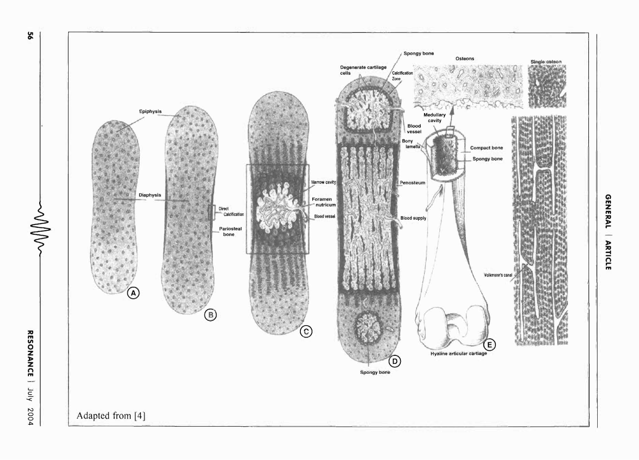

GENERAL

ARTICLE

M

RESONANCE | July 2004

~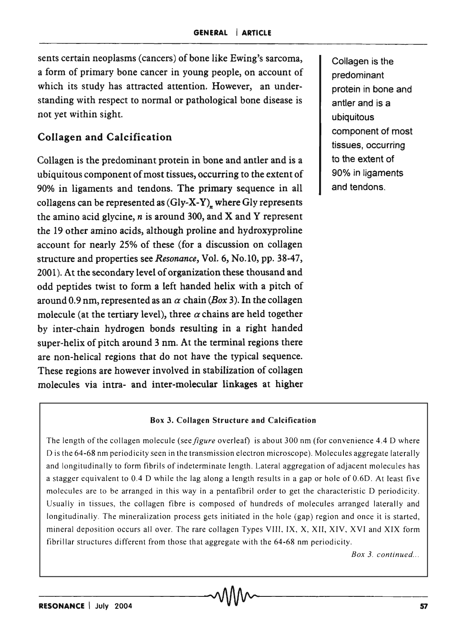sents certain neoplasms (cancers) of bone like Ewing's sarcoma, a form of primary bone cancer in young people, on account of which its study has attracted attention. However, an understanding with respect to normal or pathological bone disease is not yet within sight.

# Collagen and Calcification

Collagen is the predominant protein in bone and antler and is a ubiquitous component of most tissues, occurring to the extent of 90% in ligaments and tendons. The primary sequence in all collagens can be represented as  $(Gly-X-Y)$  where Gly represents the amino acid glycine, *n* is around 300, and X and Y represent the 19 other amino acids, although proline and hydroxyproline account for nearly 25% of these (for a discussion on collagen structure and properties see *Resonance,* Vol. 6, No.IO, pp. 38-47, 2001). At the secondary level of organization these thousand and odd peptides twist to form a left handed helix with a pitch of around 0.9 nm, represented as an  $\alpha$  chain *(Box 3)*. In the collagen molecule (at the tertiary level), three  $\alpha$  chains are held together by inter-chain hydrogen bonds resulting in a right handed super-helix of pitch around 3 nm. At the terminal regions there are non-helical regions that do not have the typical sequence. These regions are however involved in stabilization of collagen molecules via intra- and inter-molecular linkages at higher Collagen is the predominant protein in bone and antler and is a ubiquitous component of most tissues, occurring to the extent of 90% in ligaments and tendons.

#### Box 3. Collagen Structure and Calcification

The length of the collagen molecule *(seefigure* overleaf) is about 300 nm (for convenience 4.4 0 where D is the 64-68 nm periodicity seen in the transmission electron microscope). Molecules aggregate laterally and longitudinally to form fibrils of indeterminate length. Lateral aggregation of adjacent molecules has a stagger equivalent to 0.4 0 while the lag along a length results in a gap or hole of 0.60. At least five molecules are to be arranged in this way in a pentafibril order to get the characteristic 0 periodicity. Usually in tissues, the collagen fibre is composed of hundreds of molecules arranged laterally and longitudinally. The mineralization process gets initiated in the hole (gap) region and once it is started, mineral deposition occurs all over. The rare collagen Types VIII, IX, X, XII, XIV, XVI and XIX form fibrillar structures different from those that aggregate with the 64-68 nm periodicity.

*Box* 3. *continued. ..*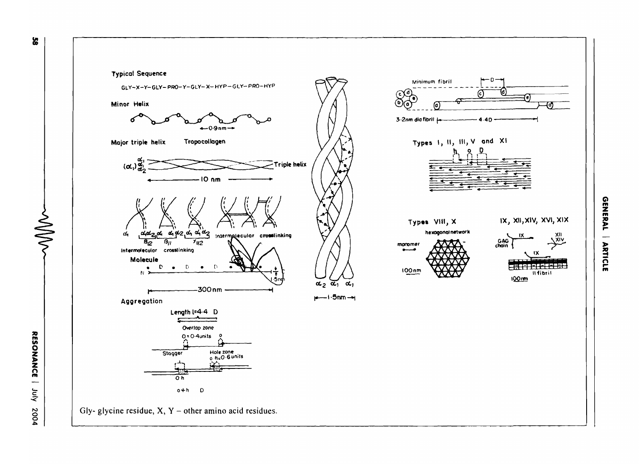

GENERAL

J> יונוב<br>ה

~

**RESONANCI** E | July N o o .::.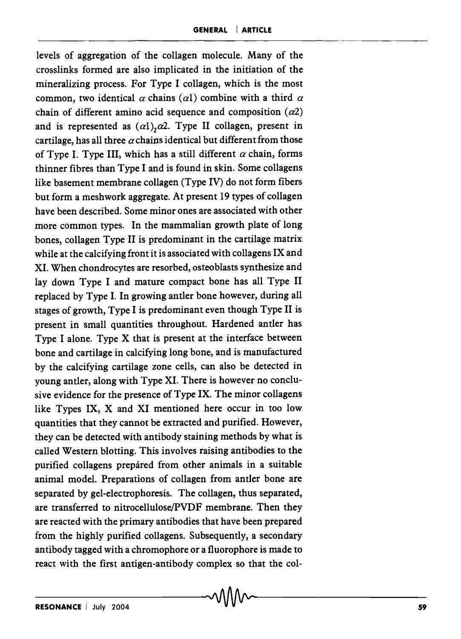levels of aggregation of the collagen molecule. Many of the crosslinks formed are also implicated in the initiation of the mineralizing process. For Type I collagen, which is the most common, two identical  $\alpha$  chains ( $\alpha$ ) combine with a third  $\alpha$ chain of different amino acid sequence and composition  $(\alpha 2)$ and is represented as  $(\alpha l), \alpha 2$ . Type II collagen, present in cartilage, has all three  $\alpha$  chains identical but different from those of Type I. Type III, which has a still different  $\alpha$  chain, forms thinner fibres than Type I and is found in skin. Some collagens like basement membrane collagen (Type IV) do not form fibers but form a meshwork aggregate. At present 19 types of collagen have been described. Some minor ones are associated with other more common types. In the mammalian growth plate of long bones, collagen Type II is predominant in the cartilage matrix while at the calcifying front it is associated with collagens IX and XI. When chondrocytes are resorbed, osteoblasts synthesize and lay down Type I and mature compact bone has all Type II replaced by Type 1. In growing antler bone however, during all stages of growth, Type I is predominant even though Type II is present in small quantities throughout. Hardened antler has Type I alone. Type X that is present at the interface between bone and cartilage in calcifying long bone, and is manufactured by the calcifying cartilage zone cells, can also be detected in young antler, along with Type XI. There is however no conclusive evidence for the presence of Type IX. The minor collagens like Types IX, X and XI mentioned here occur in too low quantities that they cannot be extracted and purified. However, they can be detected with antibody staining methods by what is called Western blotting. This involves raising antibodies to the purified collagens prepared from other animals in a suitable animal model. Preparations of collagen from antler bone are separated by gel-electrophoresis. The collagen, thus separated, are transferred to nitrocellulose/PVDF membrane. Then they are reacted with the primary antibodies that have been prepared from the highly purified collagens. Subsequently, a secondary antibody tagged with a chromophore or a fluorophore is made to react with the first antigen-antibody complex so that the col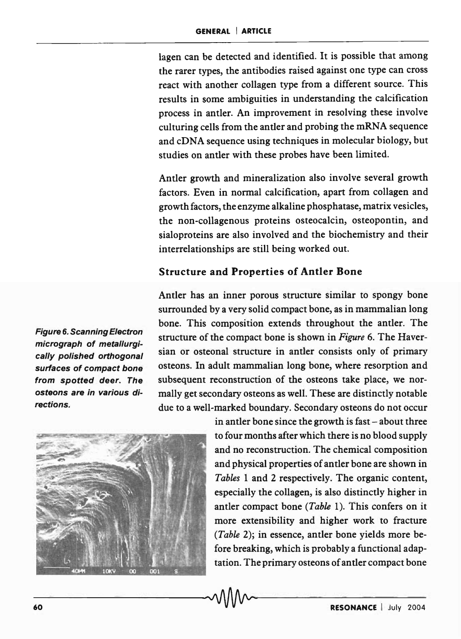lagen can be detected and identified. It is possible that among the rarer types, the antibodies raised against one type can cross react with another collagen type from a different source. This results in some ambiguities in understanding the calcification process in antler. An improvement in resolving these involve culturing cells from the antler and probing the mRNA sequence and cDNA sequence using techniques in molecular biology, but studies on antler with these probes have been limited.

Antler growth and mineralization also involve several growth factors. Even in normal calcification, apart from collagen and growth factors, the enzyme alkaline phosphatase, matrix vesicles, the non-collagenous proteins osteocalcin, osteopontin, and sialoproteins are also involved and the biochemistry and their interrelationships are still being worked out.

#### Structure and Properties of Antler Bone

Antler has an inner porous structure similar to spongy bone surrounded by a very solid compact bone, as in mammalian long bone. This composition extends throughout the antler. The structure of the compact bone is shown in *Figure* 6. The Haversian or osteonal structure in antler consists only of primary osteons. In adult mammalian long bone, where resorption and subsequent reconstruction of the osteons take place, we normally get secondary osteons as well. These are distinctly notable due to a well-marked boundary. Secondary osteons do not occur



in antler bone since the growth is fast  $-$  about three to four months after which there is no blood supply and no reconstruction. The chemical composition and physical properties of antler bone are shown in *Tables* 1 and 2 respectively. The organic content, especially the collagen, is also distinctly higher in antler compact bone *(Table* 1). This confers on it more extensibility and higher work to fracture *(Table* 2); in essence, antler bone yields more before breaking, which is probably a functional adaptation. The primary osteons of antler compact bone

Figure 6. Scanning Electron micrograph of metallurgically polished orthogonal surfaces of compact bone from spotted deer. The osteons are in various directions.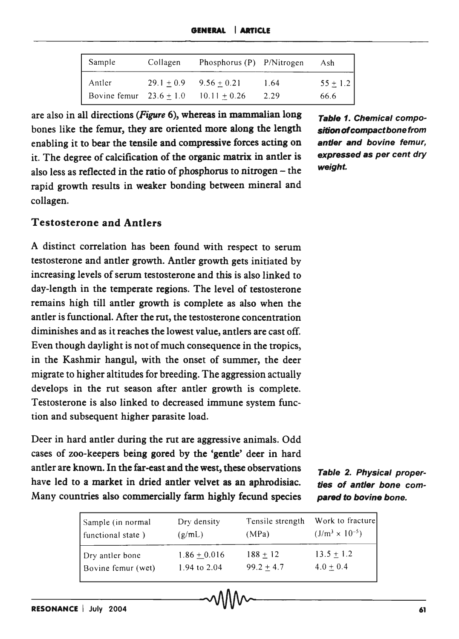| Sample                      | Collagen     | Phosphorus (P) P/Nitrogen |      | Ash        |
|-----------------------------|--------------|---------------------------|------|------------|
| Antler                      | $29.1 + 0.9$ | $9.56 + 0.21$             | 1.64 | $55 + 1.2$ |
| Bovine femur $23.6 \pm 1.0$ |              | $10.11 + 0.26$            | 2.29 | 66.6       |

are also in all directions *(Figure* 6), whereas in mammalian long bones like the femur, they are oriented more along the length enabling it to bear the tensile and compressive forces acting on it. The degree of calcification of the organic matrix in ander is also less as reflected in the ratio of phosphorus to nitrogen - the rapid growth results in weaker bonding between mineral and collagen.

antler and bovine femur, expressed as per cent dry weight.

Table 1. Chemical composition of compact bone from

## Testosterone and Antlers

A distinct correlation has been found with respect to serum testosterone and antler growth. Antler growth gets initiated by increasing levels of serum testosterone and this is also linked to day-length in the temperate regions. The level of testosterone remains high till antler growth is complete as also when the antler is functional. After the rut, the testosterone concentration diminishes and as it reaches the lowest value, antlers are cast off. Even though daylight is not of much consequence in the tropics, in the Kashmir hangul, with the onset of summer, the deer migrate to higher altitudes for breeding. The aggression actually develops in the rut season after antler growth is complete. Testosterone is also linked to decreased immune system function and subsequent higher parasite load.

Deer in hard antler during the rut are aggressive animals. Odd cases of zoo-keepers being gored by the 'gentle' deer in hard antler are known. In the far-east and the west, these observations have led to a market in dried antler velvet as an aphrodisiac. Many countries also commercially farm highly fecund species

Table 2. Physical properties of antler bone compared to bovine bone.

| Sample (in normal  | Dry density    | Tensile strength | Work to fracture         |
|--------------------|----------------|------------------|--------------------------|
| functional state)  | (g/mL)         | (MPa)            | $(J/m^3 \times 10^{-5})$ |
| Dry antler bone    | $1.86 + 0.016$ | $188 + 12$       | $13.5 + 1.2$             |
| Bovine femur (wet) | 1.94 to 2.04   | $99.2 + 4.7$     | $4.0 + 0.4$              |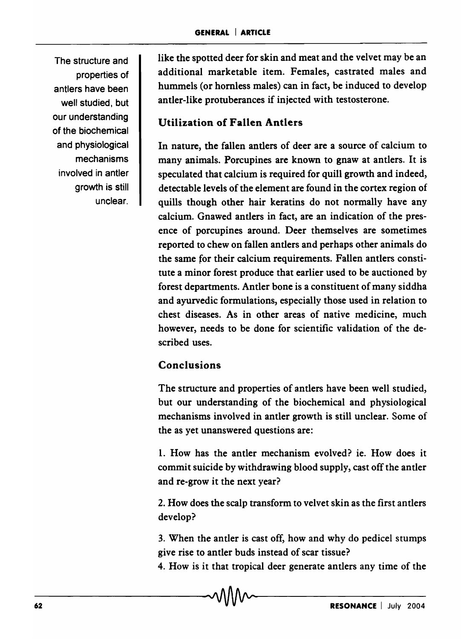The structure and properties of antlers have been well studied, but our understanding of the biochemical and physiological mechanisms involved in antler growth is still unclear. like the spotted deer for skin and meat and the velvet may be an additional marketable item. Females, castrated males and hummels (or hornless males) can in fact, be induced to develop antler-like protuberances if injected with testosterone.

# Utilization of Fallen Antlers

In nature, the fallen antlers of deer are a source of calcium to many animals. Porcupines are known to gnaw at antlers. It is speculated that calcium is required for quill growth and indeed, detectable levels of the element are found in the cortex region of quills though other hair keratins do not normally have any calcium. Gnawed antlers in fact, are an indication of the presence of porcupines around. Deer themselves are sometimes reported to chew on fallen antlers and perhaps other animals do the same for their calcium requirements. Fallen antlers constitute a minor forest produce that earlier used to be auctioned by forest departments. Antler bone is a constituent of many siddha and ayurvedic formulations, especially those used in relation to chest diseases. As in other areas of native medicine, much however, needs to be done for scientific validation of the described uses.

# Conclusions

The structure and properties of antlers have been well studied, but our understanding of the biochemical and physiological mechanisms involved in antler growth is still unclear. Some of the as yet unanswered questions are:

1. How has the antler mechanism evolved? ie. How does it commit suicide by withdrawing blood supply, cast off the antler and re-grow it the next year?

2. How does the scalp transform to velvet skin as the first antlers develop?

3. When the antler is cast off, how and why do pedicel stumps give rise to antler buds instead of scar tissue?

4. How is it that tropical deer generate antlers any time of the